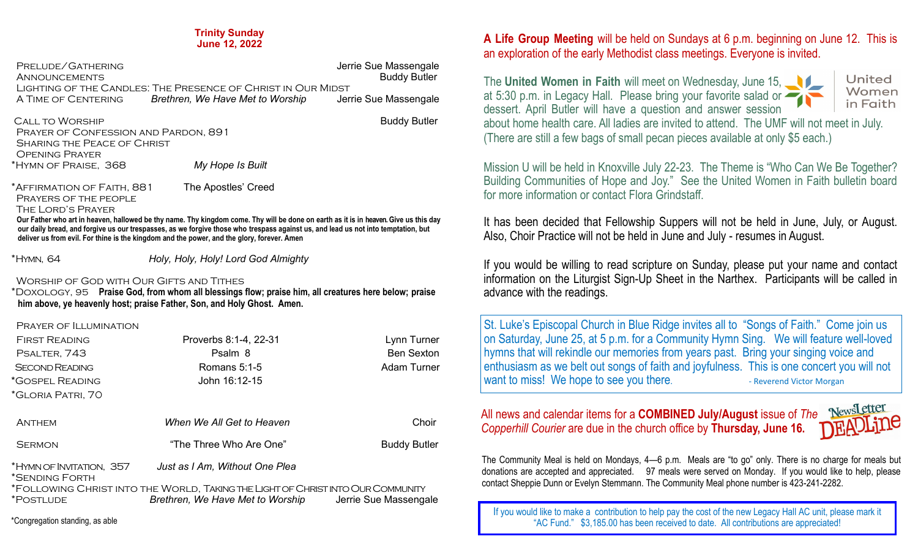| PRELUDE/GATHERING                                            |                                  | Jerrie Sue Massengale |  |
|--------------------------------------------------------------|----------------------------------|-----------------------|--|
| <b>ANNOUNCEMENTS</b>                                         |                                  | <b>Buddy Butler</b>   |  |
| LIGHTING OF THE CANDLES: THE PRESENCE OF CHRIST IN OUR MIDST |                                  |                       |  |
| A TIME OF CENTERING                                          | Brethren, We Have Met to Worship | Jerrie Sue Massengale |  |
|                                                              |                                  |                       |  |

**CALL TO WORSHIP BUDDEN BUDDEN BUDDEN BUDDEN BUDDEN BUDDEN BUDDEN BUDDEN BUDDEN BUDDEN BUDDEN BUDDEN BUDDEN BUDDEN BUDDEN BUDDEN BUDDEN BUDDEN BUDDEN BUDDEN BUDDEN BUDDEN BUDDEN BUDDEN BUDDEN BUDDEN BUDDEN BUDDEN BUDDEN BU**  Prayer of Confession and Pardon, 891 Sharing the Peace of Christ Opening Prayer \*Hymn of Praise, 368 *My Hope Is Built*

\*Affirmation of Faith, 881 The Apostles' Creed

Prayers of the people

The Lord's Prayer

 **Our Father who art in heaven, hallowed be thy name. Thy kingdom come. Thy will be done on earth as it is in heaven. Give us this day our daily bread, and forgive us our trespasses, as we forgive those who trespass against us, and lead us not into temptation, but deliver us from evil. For thine is the kingdom and the power, and the glory, forever. Amen**

\*Hymn, 64 *Holy, Holy, Holy! Lord God Almighty*

Worship of God with Our Gifts and Tithes

\*Doxology, 95 **Praise God, from whom all blessings flow; praise him, all creatures here below; praise him above, ye heavenly host; praise Father, Son, and Holy Ghost. Amen.** 

#### Prayer of Illumination

| <b>FIRST READING</b><br>PSALTER, 743<br><b>SECOND READING</b><br>*GOSPEL READING<br>*GLORIA PATRI, 70 | Proverbs 8:1-4, 22-31<br>Psalm 8<br>Romans $5:1-5$<br>John 16:12-15                                                 | Lynn Turner<br><b>Ben Sexton</b><br>Adam Turner |
|-------------------------------------------------------------------------------------------------------|---------------------------------------------------------------------------------------------------------------------|-------------------------------------------------|
| <b>ANTHEM</b>                                                                                         | When We All Get to Heaven                                                                                           | Choir                                           |
| <b>SERMON</b>                                                                                         | "The Three Who Are One"                                                                                             | <b>Buddy Butler</b>                             |
| *HYMN OF INVITATION, 357                                                                              | Just as I Am, Without One Plea                                                                                      |                                                 |
| *SENDING FORTH<br>*POSTLUDE                                                                           | *FOLLOWING CHRIST INTO THE WORLD, TAKING THE LIGHT OF CHRIST INTO OUR COMMUNITY<br>Brethren, We Have Met to Worship | Jerrie Sue Massengale                           |
| *Congregation standing, as able                                                                       |                                                                                                                     |                                                 |

# **A Life Group Meeting** will be held on Sundays at 6 p.m. beginning on June 12. This is an exploration of the early Methodist class meetings. Everyone is invited.

The **United Women in Faith** will meet on Wednesday, June 15, at 5:30 p.m. in Legacy Hall. Please bring your favorite salad or dessert. April Butler will have a question and answer session



about home health care. All ladies are invited to attend. The UMF will not meet in July. (There are still a few bags of small pecan pieces available at only \$5 each.)

Mission U will be held in Knoxville July 22-23. The Theme is "Who Can We Be Together? Building Communities of Hope and Joy." See the United Women in Faith bulletin board for more information or contact Flora Grindstaff.

It has been decided that Fellowship Suppers will not be held in June, July, or August. Also, Choir Practice will not be held in June and July - resumes in August.

If you would be willing to read scripture on Sunday, please put your name and contact information on the Liturgist Sign-Up Sheet in the Narthex. Participants will be called in advance with the readings.

St. Luke's Episcopal Church in Blue Ridge invites all to "Songs of Faith." Come join us on Saturday, June 25, at 5 p.m. for a Community Hymn Sing. We will feature well-loved hymns that will rekindle our memories from years past. Bring your singing voice and enthusiasm as we belt out songs of faith and joyfulness. This is one concert you will not want to miss! We hope to see you there.

All news and calendar items for a **COMBINED July/August** issue of *The* **Newsletted** Copperhill Courier are due in the church office by **Thursday**. June 16 **NEWARD 100** *Copperhill Courier* are due in the church office by **Thursday, June 16.** 



The Community Meal is held on Mondays, 4—6 p.m. Meals are "to go" only. There is no charge for meals but donations are accepted and appreciated. 97 meals were served on Monday. If you would like to help, please contact Sheppie Dunn or Evelyn Stemmann. The Community Meal phone number is 423-241-2282.

If you would like to make a contribution to help pay the cost of the new Legacy Hall AC unit, please mark it "AC Fund." \$3,185.00 has been received to date. All contributions are appreciated!